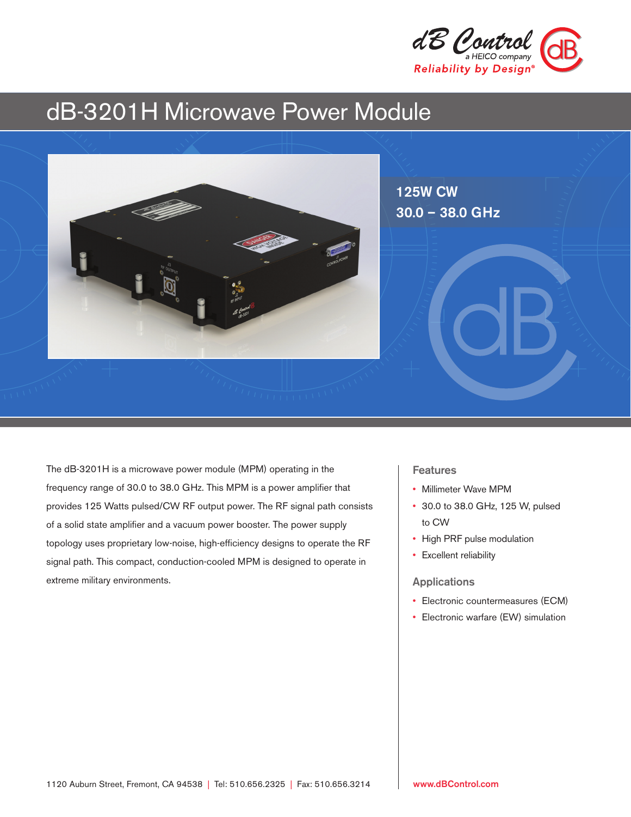

# dB-3201H Microwave Power Module



The dB-3201H is a microwave power module (MPM) operating in the frequency range of 30.0 to 38.0 GHz. This MPM is a power amplifier that provides 125 Watts pulsed/CW RF output power. The RF signal path consists of a solid state amplifier and a vacuum power booster. The power supply topology uses proprietary low-noise, high-efficiency designs to operate the RF signal path. This compact, conduction-cooled MPM is designed to operate in extreme military environments.

# Features

- Millimeter Wave MPM
- 30.0 to 38.0 GHz, 125 W, pulsed to CW
- High PRF pulse modulation
- Excellent reliability

### Applications

- Electronic countermeasures (ECM)
- Electronic warfare (EW) simulation